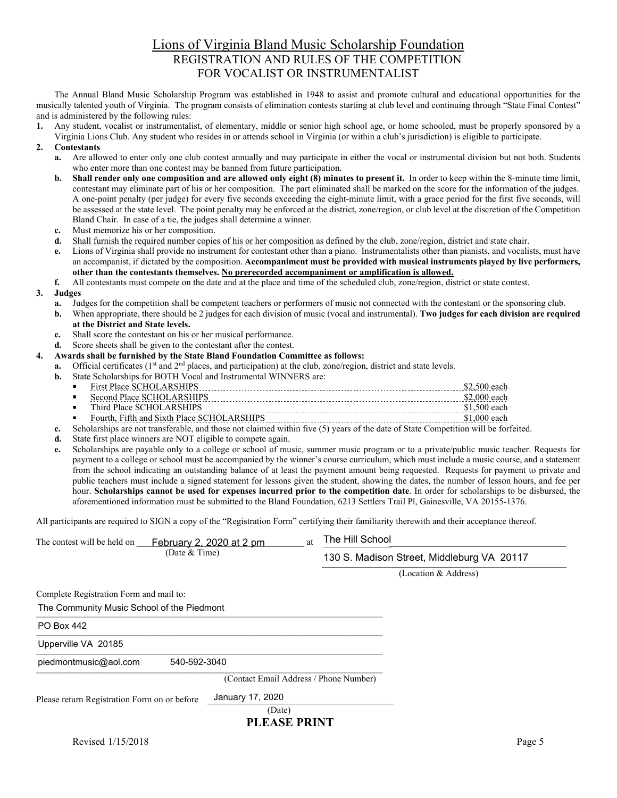## Lions of Virginia Bland Music Scholarship Foundation REGISTRATION AND RULES OF THE COMPETITION FOR VOCALIST OR INSTRUMENTALIST

The Annual Bland Music Scholarship Program was established in 1948 to assist and promote cultural and educational opportunities for the musically talented youth of Virginia. The program consists of elimination contests starting at club level and continuing through "State Final Contest" and is administered by the following rules:

**1.** Any student, vocalist or instrumentalist, of elementary, middle or senior high school age, or home schooled, must be properly sponsored by a Virginia Lions Club. Any student who resides in or attends school in Virginia (or within a club's jurisdiction) is eligible to participate.

## **2. Contestants**

- **a.** Are allowed to enter only one club contest annually and may participate in either the vocal or instrumental division but not both. Students who enter more than one contest may be banned from future participation.
- **b.** Shall render only one composition and are allowed only eight (8) minutes to present it. In order to keep within the 8-minute time limit, contestant may eliminate part of his or her composition. The part eliminated shall be marked on the score for the information of the judges. A one-point penalty (per judge) for every five seconds exceeding the eight-minute limit, with a grace period for the first five seconds, will be assessed at the state level. The point penalty may be enforced at the district, zone/region, or club level at the discretion of the Competition Bland Chair. In case of a tie, the judges shall determine a winner.
- **c.** Must memorize his or her composition.
- **d.** Shall furnish the required number copies of his or her composition as defined by the club, zone/region, district and state chair.
- **e.** Lions of Virginia shall provide no instrument for contestant other than a piano. Instrumentalists other than pianists, and vocalists, must have an accompanist, if dictated by the composition. **Accompaniment must be provided with musical instruments played by live performers, other than the contestants themselves. No prerecorded accompaniment or amplification is allowed.**
- **f.** All contestants must compete on the date and at the place and time of the scheduled club, zone/region, district or state contest.

## **3. Judges**

- **a.** Judges for the competition shall be competent teachers or performers of music not connected with the contestant or the sponsoring club.
- **b.** When appropriate, there should be 2 judges for each division of music (vocal and instrumental). **Two judges for each division are required at the District and State levels.**
- **c.** Shall score the contestant on his or her musical performance.
- **d.** Score sheets shall be given to the contestant after the contest.
- **4. Awards shall be furnished by the State Bland Foundation Committee as follows:**
	- **a.** Official certificates (1<sup>st</sup> and 2<sup>nd</sup> places, and participation) at the club, zone/region, district and state levels.
	- **b.** State Scholarships for BOTH Vocal and Instrumental WINNERS are:

| ٠ |         |      |
|---|---------|------|
|   | 'lace ∶ | ---- |
|   |         |      |

- Fourth, Fifth and Sixth Place SCHOLARSHIPS \$1,000 each
- **c.** Scholarships are not transferable, and those not claimed within five (5) years of the date of State Competition will be forfeited.
- **d.** State first place winners are NOT eligible to compete again.
- **e.** Scholarships are payable only to a college or school of music, summer music program or to a private/public music teacher. Requests for payment to a college or school must be accompanied by the winner's course curriculum, which must include a music course, and a statement from the school indicating an outstanding balance of at least the payment amount being requested. Requests for payment to private and public teachers must include a signed statement for lessons given the student, showing the dates, the number of lesson hours, and fee per hour. **Scholarships cannot be used for expenses incurred prior to the competition date**. In order for scholarships to be disbursed, the aforementioned information must be submitted to the Bland Foundation, 6213 Settlers Trail Pl, Gainesville, VA 20155-1376.

All participants are required to SIGN a copy of the "Registration Form" certifying their familiarity therewith and their acceptance thereof.

| The contest will be held on                  | February 2, 2020 at 2 pm | at                                     | The Hill School                            |  |  |
|----------------------------------------------|--------------------------|----------------------------------------|--------------------------------------------|--|--|
|                                              | (Date $&$ Time)          |                                        | 130 S. Madison Street, Middleburg VA 20117 |  |  |
|                                              |                          |                                        | (Location & Address)                       |  |  |
| Complete Registration Form and mail to:      |                          |                                        |                                            |  |  |
| The Community Music School of the Piedmont   |                          |                                        |                                            |  |  |
| <b>PO Box 442</b>                            |                          |                                        |                                            |  |  |
| Upperville VA 20185                          |                          |                                        |                                            |  |  |
| piedmontmusic@aol.com                        | 540-592-3040             |                                        |                                            |  |  |
|                                              |                          | (Contact Email Address / Phone Number) |                                            |  |  |
| Please return Registration Form on or before | January 17, 2020         |                                        |                                            |  |  |
|                                              | (Date)                   |                                        |                                            |  |  |
|                                              |                          | ni raq nnivr                           |                                            |  |  |